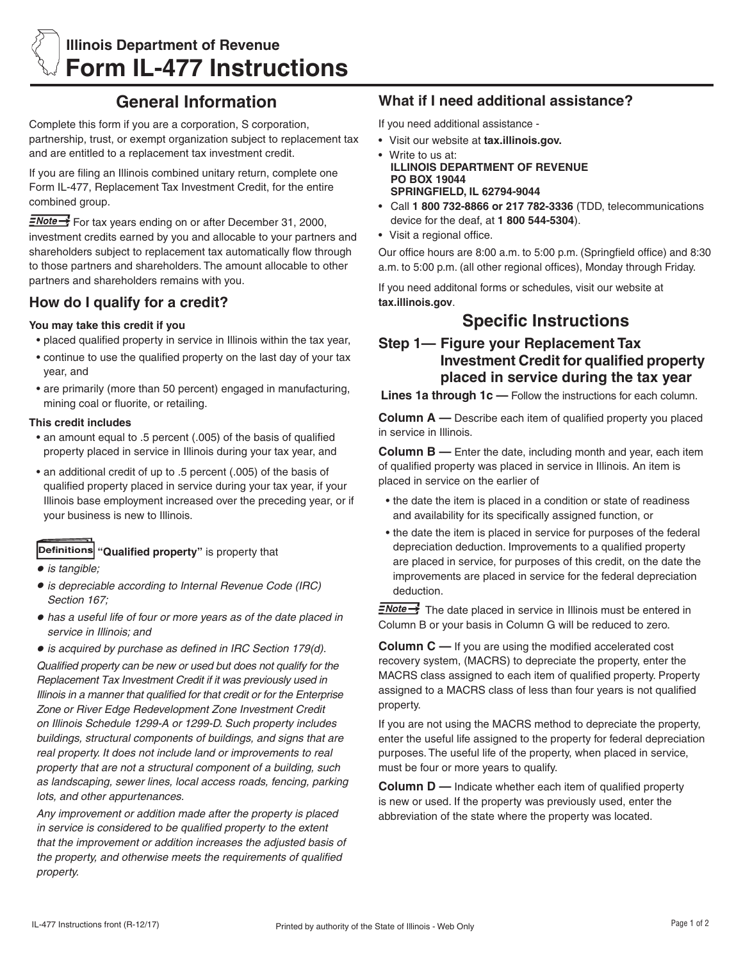

## **General Information**

Complete this form if you are a corporation, S corporation, partnership, trust, or exempt organization subject to replacement tax and are entitled to a replacement tax investment credit.

If you are filing an Illinois combined unitary return, complete one Form IL-477, Replacement Tax Investment Credit, for the entire combined group.

FNote <sup>3</sup> For tax years ending on or after December 31, 2000, investment credits earned by you and allocable to your partners and shareholders subject to replacement tax automatically flow through to those partners and shareholders. The amount allocable to other partners and shareholders remains with you.

### **How do I qualify for a credit?**

### **You may take this credit if you**

- placed qualified property in service in Illinois within the tax year,
- continue to use the qualified property on the last day of your tax year, and
- are primarily (more than 50 percent) engaged in manufacturing, mining coal or fluorite, or retailing.

### **This credit includes**

- an amount equal to .5 percent (.005) of the basis of qualified property placed in service in Illinois during your tax year, and
- an additional credit of up to .5 percent (.005) of the basis of qualified property placed in service during your tax year, if your Illinois base employment increased over the preceding year, or if your business is new to Illinois.

- **Definitions "Qualified property"** is property that
- **•** *is tangible;*
- **•** *is depreciable according to Internal Revenue Code (IRC) Section 167;*
- **•** *has a useful life of four or more years as of the date placed in service in Illinois; and*

**•** *is acquired by purchase as defined in IRC Section 179(d). Qualified property can be new or used but does not qualify for the Replacement Tax Investment Credit if it was previously used in Illinois in a manner that qualified for that credit or for the Enterprise Zone or River Edge Redevelopment Zone Investment Credit on Illinois Schedule 1299-A or 1299-D. Such property includes buildings, structural components of buildings, and signs that are real property. It does not include land or improvements to real property that are not a structural component of a building, such as landscaping, sewer lines, local access roads, fencing, parking lots, and other appurtenances.*

*Any improvement or addition made after the property is placed in service is considered to be qualified property to the extent that the improvement or addition increases the adjusted basis of the property, and otherwise meets the requirements of qualified property.*

## **What if I need additional assistance?**

If you need additional assistance -

- • Visit our website at **tax.illinois.gov.**
- Write to us at:  **ILLINOIS DEPARTMENT OF REVENUE PO BOX 19044 SPRINGFIELD, IL 62794-9044**
- • Call **1 800 732-8866 or 217 782-3336** (TDD, telecommunications device for the deaf, at **1 800 544-5304**).
- • Visit a regional office.

Our office hours are 8:00 a.m. to 5:00 p.m. (Springfield office) and 8:30 a.m. to 5:00 p.m. (all other regional offices), Monday through Friday.

If you need additonal forms or schedules, visit our website at **tax.illinois.gov**.

# **Specific Instructions**

## **Step 1— Figure your Replacement Tax Investment Credit for qualified property placed in service during the tax year**

**Lines 1a through 1c —** Follow the instructions for each column.

**Column A —** Describe each item of qualified property you placed in service in Illinois.

**Column B —** Enter the date, including month and year, each item of qualified property was placed in service in Illinois. An item is placed in service on the earlier of

- the date the item is placed in a condition or state of readiness and availability for its specifically assigned function, or
- the date the item is placed in service for purposes of the federal depreciation deduction. Improvements to a qualified property are placed in service, for purposes of this credit, on the date the improvements are placed in service for the federal depreciation deduction.

 $\equiv$ Note $\rightarrow$  The date placed in service in Illinois must be entered in Column B or your basis in Column G will be reduced to zero.

**Column C** — If you are using the modified accelerated cost recovery system, (MACRS) to depreciate the property, enter the MACRS class assigned to each item of qualified property. Property assigned to a MACRS class of less than four years is not qualified property.

If you are not using the MACRS method to depreciate the property, enter the useful life assigned to the property for federal depreciation purposes. The useful life of the property, when placed in service, must be four or more years to qualify.

**Column D** — Indicate whether each item of qualified property is new or used. If the property was previously used, enter the abbreviation of the state where the property was located.